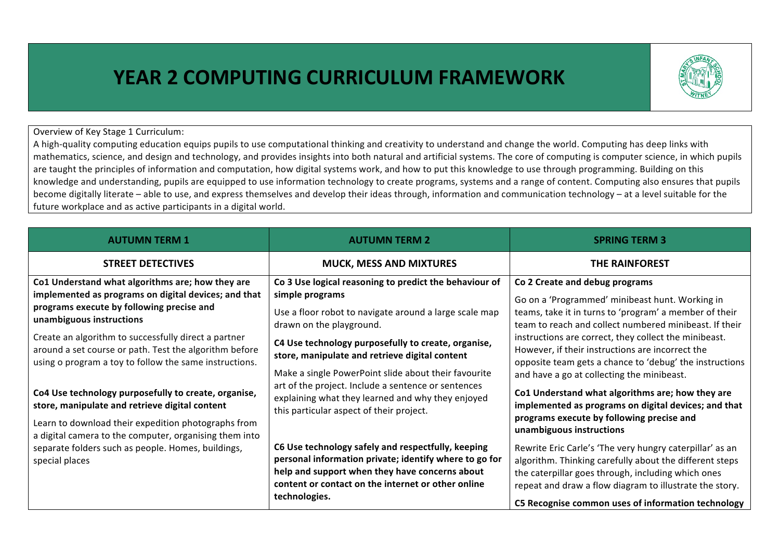## **YEAR 2 COMPUTING CURRICULUM FRAMEWORK**



Overview of Key Stage 1 Curriculum:

A high-quality computing education equips pupils to use computational thinking and creativity to understand and change the world. Computing has deep links with mathematics, science, and design and technology, and provides insights into both natural and artificial systems. The core of computing is computer science, in which pupils are taught the principles of information and computation, how digital systems work, and how to put this knowledge to use through programming. Building on this knowledge and understanding, pupils are equipped to use information technology to create programs, systems and a range of content. Computing also ensures that pupils become digitally literate – able to use, and express themselves and develop their ideas through, information and communication technology – at a level suitable for the future workplace and as active participants in a digital world.

| <b>AUTUMN TERM 1</b>                                                                                                                                                                                                    | <b>AUTUMN TERM 2</b>                                                                                                                                                                                                                  | <b>SPRING TERM 3</b>                                                                                                                                                                                                                                                                       |
|-------------------------------------------------------------------------------------------------------------------------------------------------------------------------------------------------------------------------|---------------------------------------------------------------------------------------------------------------------------------------------------------------------------------------------------------------------------------------|--------------------------------------------------------------------------------------------------------------------------------------------------------------------------------------------------------------------------------------------------------------------------------------------|
| <b>STREET DETECTIVES</b>                                                                                                                                                                                                | <b>MUCK, MESS AND MIXTURES</b>                                                                                                                                                                                                        | <b>THE RAINFOREST</b>                                                                                                                                                                                                                                                                      |
| Co1 Understand what algorithms are; how they are<br>implemented as programs on digital devices; and that<br>programs execute by following precise and<br>unambiguous instructions                                       | Co 3 Use logical reasoning to predict the behaviour of<br>simple programs<br>Use a floor robot to navigate around a large scale map<br>drawn on the playground.                                                                       | Co 2 Create and debug programs<br>Go on a 'Programmed' minibeast hunt. Working in<br>teams, take it in turns to 'program' a member of their<br>team to reach and collect numbered minibeast. If their                                                                                      |
| Create an algorithm to successfully direct a partner<br>around a set course or path. Test the algorithm before<br>using o program a toy to follow the same instructions.                                                | C4 Use technology purposefully to create, organise,<br>store, manipulate and retrieve digital content<br>Make a single PowerPoint slide about their favourite                                                                         | instructions are correct, they collect the minibeast.<br>However, if their instructions are incorrect the<br>opposite team gets a chance to 'debug' the instructions<br>and have a go at collecting the minibeast.                                                                         |
| Co4 Use technology purposefully to create, organise,<br>store, manipulate and retrieve digital content<br>Learn to download their expedition photographs from<br>a digital camera to the computer, organising them into | art of the project. Include a sentence or sentences<br>explaining what they learned and why they enjoyed<br>this particular aspect of their project.                                                                                  | Co1 Understand what algorithms are; how they are<br>implemented as programs on digital devices; and that<br>programs execute by following precise and<br>unambiguous instructions                                                                                                          |
| separate folders such as people. Homes, buildings,<br>special places                                                                                                                                                    | C6 Use technology safely and respectfully, keeping<br>personal information private; identify where to go for<br>help and support when they have concerns about<br>content or contact on the internet or other online<br>technologies. | Rewrite Eric Carle's 'The very hungry caterpillar' as an<br>algorithm. Thinking carefully about the different steps<br>the caterpillar goes through, including which ones<br>repeat and draw a flow diagram to illustrate the story.<br>C5 Recognise common uses of information technology |